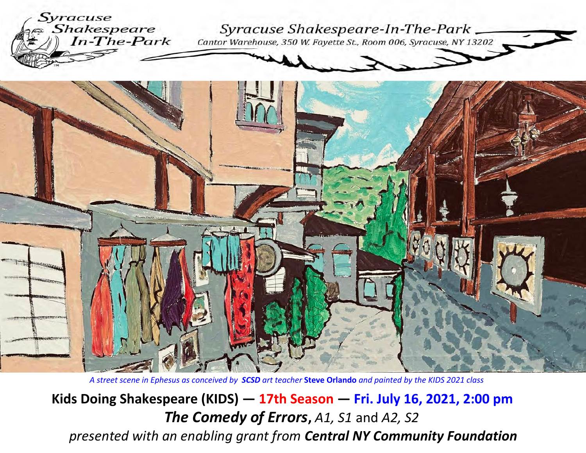



*A street scene in Ephesus as conceived by SCSD art teacher* **Steve Orlando** *and painted by the KIDS 2021 class*

**Kids Doing Shakespeare (KIDS) — 17th Season — Fri. July 16, 2021, 2:00 pm***The Comedy of Errors***,** *A1, S1* and *A2, S2presented with an enabling grant from Central NY Community Foundation*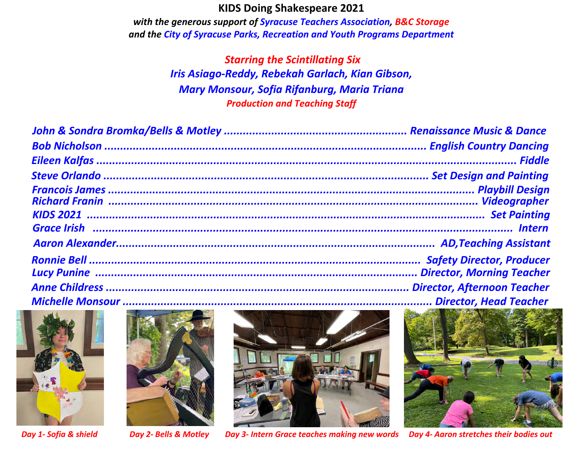## **KIDS Doing Shakespeare 2021**

 *with the generous support of Syracuse Teachers Association, B&C Storageand the City of Syracuse Parks, Recreation and Youth Programs Department*

> *Starring the Scintillating Six Iris Asiago-Reddy, Rebekah Garlach, Kian Gibson, Mary Monsour, Sofia Rifanburg, Maria TrianaProduction and Teaching Staff*







*Day 1- Sofia & shield Day 2- Bells & Motley Day 3- Intern Grace teaches making new words Day 4- Aaron stretches their bodies out*

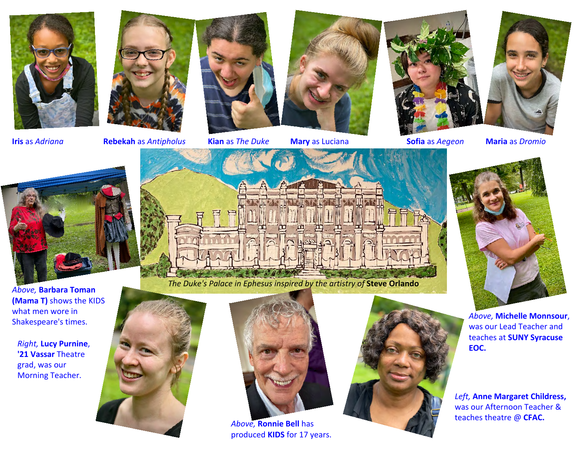



**Iris** as

*Adriana* **Rebekah** as *Antipholus* **Kian** as *The Duke* **Mary** as Luciana **Sofia** as *Aegeon*







**Maria** as *Dromio*



*Above,* **Barbara Toman (Mama T)** shows the KIDSwhat men wore in Shakespeare's times.

*Right,* **Lucy Purnine**, **'21 Vassar** Theatre grad, was our Morning Teacher.



*The Duke's Palace in Ephesus inspired by the artistry of* **Steve Orlando**



*Above,* **Ronnie Bell** has produced **KIDS** for 17 years.



*Above,* **Michelle Monnsour**, was our Lead Teacher and teaches at **SUNY Syracuse EOC.**

*Left,* **Anne Margaret Childress,**was our Afternoon Teacher &teaches theatre @ **CFAC.**